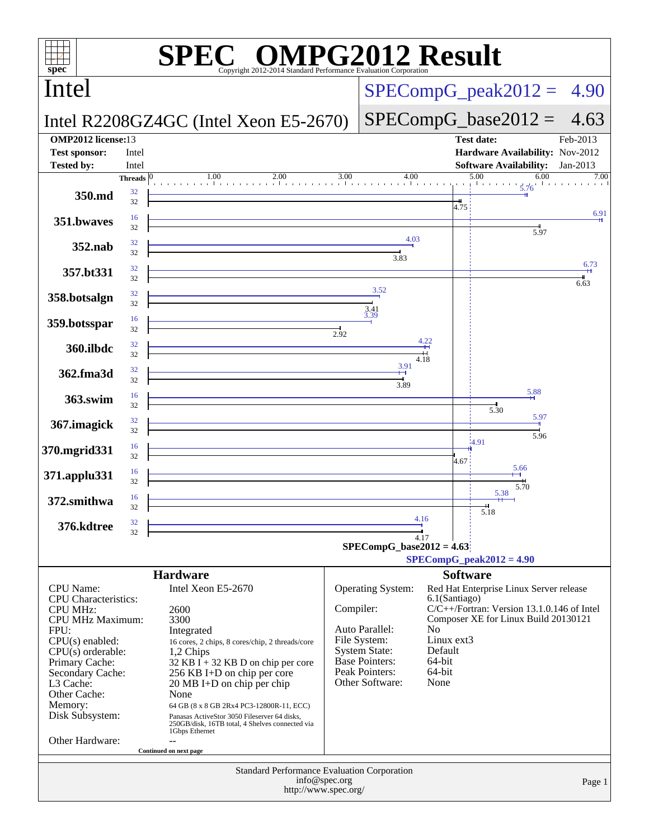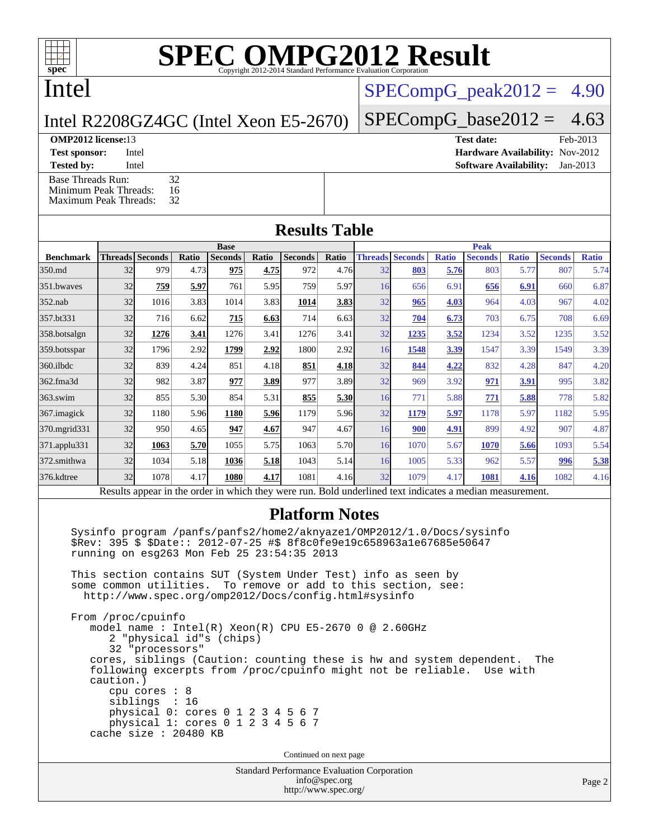Intel

### $SPECompG_peak2012 = 4.90$  $SPECompG_peak2012 = 4.90$

Intel R2208GZ4GC (Intel Xeon E5-2670)

 $SPECompG_base2012 = 4.63$  $SPECompG_base2012 = 4.63$ 

#### **[OMP2012 license:](http://www.spec.org/auto/omp2012/Docs/result-fields.html#OMP2012license)13**

[Base Threads Run:](http://www.spec.org/auto/omp2012/Docs/result-fields.html#BaseThreadsRun) 32<br>Minimum Peak Threads: 16

[Minimum Peak Threads:](http://www.spec.org/auto/omp2012/Docs/result-fields.html#MinimumPeakThreads) [Maximum Peak Threads:](http://www.spec.org/auto/omp2012/Docs/result-fields.html#MaximumPeakThreads) 32

| <b>OMP2012 license:</b> 13 |       | Test date:                             | Feb-2013 |
|----------------------------|-------|----------------------------------------|----------|
| <b>Test sponsor:</b>       | Intel | <b>Hardware Availability: Nov-2012</b> |          |
| <b>Tested by:</b>          | Intel | <b>Software Availability:</b> Jan-2013 |          |

#### **[Results Table](http://www.spec.org/auto/omp2012/Docs/result-fields.html#ResultsTable)**

|                    |                                                                                                          | <b>Peak</b><br><b>Base</b> |       |                |       |                |       |                 |                        |              |                |              |                |              |
|--------------------|----------------------------------------------------------------------------------------------------------|----------------------------|-------|----------------|-------|----------------|-------|-----------------|------------------------|--------------|----------------|--------------|----------------|--------------|
| <b>Benchmark</b>   |                                                                                                          | <b>Threads Seconds</b>     | Ratio | <b>Seconds</b> | Ratio | <b>Seconds</b> | Ratio |                 | <b>Threads Seconds</b> | <b>Ratio</b> | <b>Seconds</b> | <b>Ratio</b> | <b>Seconds</b> | <b>Ratio</b> |
| 350.md             | 32                                                                                                       | 979                        | 4.73  | 975            | 4.75  | 972            | 4.76  | 32              | 803                    | 5.76         | 803            | 5.77         | 807            | 5.74         |
| 351.bwaves         | 32                                                                                                       | 759                        | 5.97  | 761            | 5.95  | 759            | 5.97  | 16              | 656                    | 6.91         | 656            | 6.91         | 660            | 6.87         |
| $352$ .nab         | 32                                                                                                       | 1016                       | 3.83  | 1014           | 3.83  | 1014           | 3.83  | 32              | 965                    | 4.03         | 964            | 4.03         | 967            | 4.02         |
| 357.bt331          | 32                                                                                                       | 716                        | 6.62  | 715            | 6.63  | 714            | 6.63  | 32              | 704                    | 6.73         | 703            | 6.75         | 708            | 6.69         |
| 358.botsalgn       | 32                                                                                                       | 1276                       | 3.41  | 1276           | 3.41  | 1276           | 3.41  | 32              | 1235                   | 3.52         | 1234           | 3.52         | 1235           | 3.52         |
| 359.botsspar       | 32                                                                                                       | 1796                       | 2.92  | 1799           | 2.92  | 1800           | 2.92  | 16              | 1548                   | 3.39         | 1547           | 3.39         | 1549           | 3.39         |
| $360$ .ilbdc       | 32                                                                                                       | 839                        | 4.24  | 851            | 4.18  | 851            | 4.18  | 32              | 844                    | 4.22         | 832            | 4.28         | 847            | 4.20         |
| 362.fma3d          | 32                                                                                                       | 982                        | 3.87  | 977            | 3.89  | 977            | 3.89  | 32              | 969                    | 3.92         | 971            | 3.91         | 995            | 3.82         |
| $363$ .swim        | 32                                                                                                       | 855                        | 5.30  | 854            | 5.31  | 855            | 5.30  | 16              | 771                    | 5.88         | 771            | 5.88         | 778            | 5.82         |
| 367.imagick        | 32                                                                                                       | 1180                       | 5.96  | 1180           | 5.96  | 1179           | 5.96  | 32              | 1179                   | 5.97         | 1178           | 5.97         | 1182           | 5.95         |
| 370.mgrid331       | 32                                                                                                       | 950                        | 4.65  | 947            | 4.67  | 947            | 4.67  | 16              | 900                    | 4.91         | 899            | 4.92         | 907            | 4.87         |
| $371$ .applu $331$ | 32                                                                                                       | 1063                       | 5.70  | 1055           | 5.75  | 1063           | 5.70  | 16 <sup>l</sup> | 1070                   | 5.67         | 1070           | 5.66         | 1093           | 5.54         |
| 372.smithwa        | 32                                                                                                       | 1034                       | 5.18  | 1036           | 5.18  | 1043           | 5.14  | 16 <sup>l</sup> | 1005                   | 5.33         | 962            | 5.57         | 996            | 5.38         |
| 376.kdtree         | 32                                                                                                       | 1078                       | 4.17  | 1080           | 4.17  | 1081           | 4.16  | 32              | 1079                   | 4.17         | 1081           | 4.16         | 1082           | 4.16         |
|                    | Results appear in the order in which they were run. Bold underlined text indicates a median measurement. |                            |       |                |       |                |       |                 |                        |              |                |              |                |              |

#### **[Platform Notes](http://www.spec.org/auto/omp2012/Docs/result-fields.html#PlatformNotes)**

 Sysinfo program /panfs/panfs2/home2/aknyaze1/OMP2012/1.0/Docs/sysinfo \$Rev: 395 \$ \$Date:: 2012-07-25 #\$ 8f8c0fe9e19c658963a1e67685e50647 running on esg263 Mon Feb 25 23:54:35 2013

 This section contains SUT (System Under Test) info as seen by some common utilities. To remove or add to this section, see: <http://www.spec.org/omp2012/Docs/config.html#sysinfo>

 From /proc/cpuinfo model name : Intel(R) Xeon(R) CPU E5-2670 0 @ 2.60GHz 2 "physical id"s (chips) 32 "processors" cores, siblings (Caution: counting these is hw and system dependent. The following excerpts from /proc/cpuinfo might not be reliable. Use with caution.) cpu cores : 8 siblings : 16 physical 0: cores 0 1 2 3 4 5 6 7 physical 1: cores 0 1 2 3 4 5 6 7 cache size : 20480 KB

Continued on next page

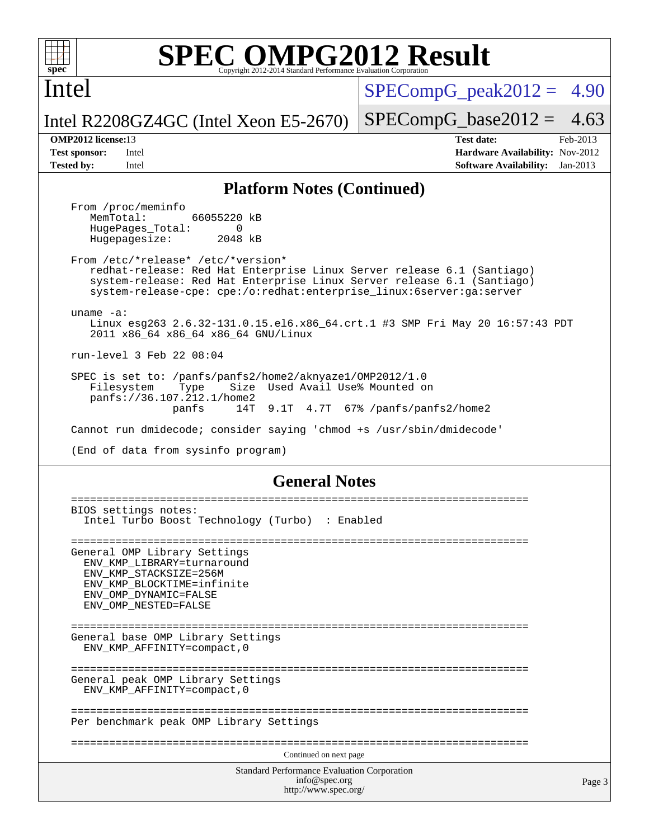

Intel

 $SPECompG<sub>peak2012</sub> = 4.90$ 

 $SPECompG_base2012 = 4.63$  $SPECompG_base2012 = 4.63$ 

Intel R2208GZ4GC (Intel Xeon E5-2670)

**[Tested by:](http://www.spec.org/auto/omp2012/Docs/result-fields.html#Testedby)** Intel **[Software Availability:](http://www.spec.org/auto/omp2012/Docs/result-fields.html#SoftwareAvailability)** Jan-2013

**[OMP2012 license:](http://www.spec.org/auto/omp2012/Docs/result-fields.html#OMP2012license)**13 **[Test date:](http://www.spec.org/auto/omp2012/Docs/result-fields.html#Testdate)** Feb-2013 **[Test sponsor:](http://www.spec.org/auto/omp2012/Docs/result-fields.html#Testsponsor)** Intel **[Hardware Availability:](http://www.spec.org/auto/omp2012/Docs/result-fields.html#HardwareAvailability)** Nov-2012

### **[Platform Notes \(Continued\)](http://www.spec.org/auto/omp2012/Docs/result-fields.html#PlatformNotes)**

From /proc/meminfo<br>MemTotal: 66055220 kB HugePages\_Total: 0<br>Hugepagesize: 2048 kB Hugepagesize:

 From /etc/\*release\* /etc/\*version\* redhat-release: Red Hat Enterprise Linux Server release 6.1 (Santiago) system-release: Red Hat Enterprise Linux Server release 6.1 (Santiago) system-release-cpe: cpe:/o:redhat:enterprise\_linux:6server:ga:server

uname -a:

 Linux esg263 2.6.32-131.0.15.el6.x86\_64.crt.1 #3 SMP Fri May 20 16:57:43 PDT 2011 x86\_64 x86\_64 x86\_64 GNU/Linux

run-level 3 Feb 22 08:04

 SPEC is set to: /panfs/panfs2/home2/aknyaze1/OMP2012/1.0 Filesystem Type Size Used Avail Use% Mounted on panfs://36.107.212.1/home2 panfs 14T 9.1T 4.7T 67% /panfs/panfs2/home2

Cannot run dmidecode; consider saying 'chmod +s /usr/sbin/dmidecode'

(End of data from sysinfo program)

#### **[General Notes](http://www.spec.org/auto/omp2012/Docs/result-fields.html#GeneralNotes)**

Standard Performance Evaluation Corporation [info@spec.org](mailto:info@spec.org) <http://www.spec.org/> Page 3 ======================================================================== BIOS settings notes: Intel Turbo Boost Technology (Turbo) : Enabled ======================================================================== General OMP Library Settings ENV\_KMP\_LIBRARY=turnaround ENV\_KMP\_STACKSIZE=256M ENV\_KMP\_BLOCKTIME=infinite ENV\_OMP\_DYNAMIC=FALSE ENV\_OMP\_NESTED=FALSE ======================================================================== General base OMP Library Settings ENV\_KMP\_AFFINITY=compact,0 ======================================================================== General peak OMP Library Settings ENV\_KMP\_AFFINITY=compact,0 ======================================================================== Per benchmark peak OMP Library Settings ======================================================================== Continued on next page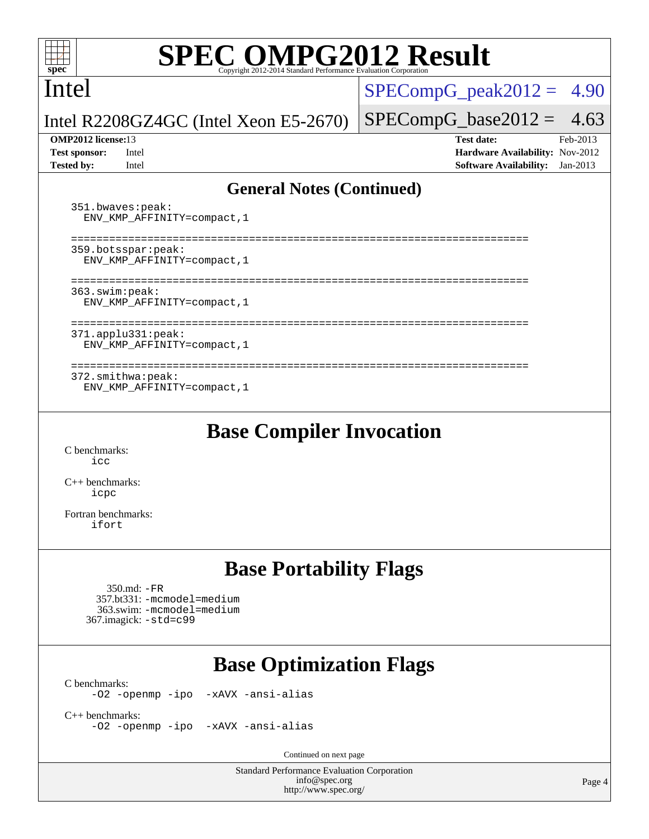Intel

 $SPECompG_peak2012 = 4.90$  $SPECompG_peak2012 = 4.90$ 

Intel R2208GZ4GC (Intel Xeon E5-2670)

#### **[OMP2012 license:](http://www.spec.org/auto/omp2012/Docs/result-fields.html#OMP2012license)**13 **[Test date:](http://www.spec.org/auto/omp2012/Docs/result-fields.html#Testdate)** Feb-2013

 $SPECompG_base2012 = 4.63$  $SPECompG_base2012 = 4.63$ 

**[Test sponsor:](http://www.spec.org/auto/omp2012/Docs/result-fields.html#Testsponsor)** Intel **[Hardware Availability:](http://www.spec.org/auto/omp2012/Docs/result-fields.html#HardwareAvailability)** Nov-2012 **[Tested by:](http://www.spec.org/auto/omp2012/Docs/result-fields.html#Testedby)** Intel **[Software Availability:](http://www.spec.org/auto/omp2012/Docs/result-fields.html#SoftwareAvailability)** Jan-2013

### **[General Notes \(Continued\)](http://www.spec.org/auto/omp2012/Docs/result-fields.html#GeneralNotes)**

 351.bwaves:peak: ENV\_KMP\_AFFINITY=compact,1 ======================================================================== 359.botsspar:peak: ENV\_KMP\_AFFINITY=compact,1 ======================================================================== 363.swim:peak: ENV\_KMP\_AFFINITY=compact,1 ======================================================================== 371.applu331:peak: ENV\_KMP\_AFFINITY=compact,1 ======================================================================== 372.smithwa:peak: ENV\_KMP\_AFFINITY=compact,1

**[Base Compiler Invocation](http://www.spec.org/auto/omp2012/Docs/result-fields.html#BaseCompilerInvocation)**

[C benchmarks](http://www.spec.org/auto/omp2012/Docs/result-fields.html#Cbenchmarks): [icc](http://www.spec.org/omp2012/results/res2013q1/omp2012-20130305-00025.flags.html#user_CCbase_intel_icc_a87c68a857bc5ec5362391a49d3a37a6)

[C++ benchmarks:](http://www.spec.org/auto/omp2012/Docs/result-fields.html#CXXbenchmarks) [icpc](http://www.spec.org/omp2012/results/res2013q1/omp2012-20130305-00025.flags.html#user_CXXbase_intel_icpc_2d899f8d163502b12eb4a60069f80c1c)

[Fortran benchmarks](http://www.spec.org/auto/omp2012/Docs/result-fields.html#Fortranbenchmarks): [ifort](http://www.spec.org/omp2012/results/res2013q1/omp2012-20130305-00025.flags.html#user_FCbase_intel_ifort_8a5e5e06b19a251bdeaf8fdab5d62f20)

## **[Base Portability Flags](http://www.spec.org/auto/omp2012/Docs/result-fields.html#BasePortabilityFlags)**

 350.md: [-FR](http://www.spec.org/omp2012/results/res2013q1/omp2012-20130305-00025.flags.html#user_baseFPORTABILITY350_md_f-FR) 357.bt331: [-mcmodel=medium](http://www.spec.org/omp2012/results/res2013q1/omp2012-20130305-00025.flags.html#user_basePORTABILITY357_bt331_f-mcmodel_3a41622424bdd074c4f0f2d2f224c7e5) 363.swim: [-mcmodel=medium](http://www.spec.org/omp2012/results/res2013q1/omp2012-20130305-00025.flags.html#user_basePORTABILITY363_swim_f-mcmodel_3a41622424bdd074c4f0f2d2f224c7e5) 367.imagick: [-std=c99](http://www.spec.org/omp2012/results/res2013q1/omp2012-20130305-00025.flags.html#user_baseCPORTABILITY367_imagick_f-std_2ec6533b6e06f1c4a6c9b78d9e9cde24)

# **[Base Optimization Flags](http://www.spec.org/auto/omp2012/Docs/result-fields.html#BaseOptimizationFlags)**

 $C$  benchmarks:<br> $-02$  -openmp -ipo [-xAVX](http://www.spec.org/omp2012/results/res2013q1/omp2012-20130305-00025.flags.html#user_CCbase_f-xAVX) [-ansi-alias](http://www.spec.org/omp2012/results/res2013q1/omp2012-20130305-00025.flags.html#user_CCbase_f-ansi-alias)

[C++ benchmarks:](http://www.spec.org/auto/omp2012/Docs/result-fields.html#CXXbenchmarks) [-O2](http://www.spec.org/omp2012/results/res2013q1/omp2012-20130305-00025.flags.html#user_CXXbase_f-O2) [-openmp](http://www.spec.org/omp2012/results/res2013q1/omp2012-20130305-00025.flags.html#user_CXXbase_f-openmp) [-ipo](http://www.spec.org/omp2012/results/res2013q1/omp2012-20130305-00025.flags.html#user_CXXbase_f-ipo_84062ab53814f613187d02344b8f49a7) [-xAVX](http://www.spec.org/omp2012/results/res2013q1/omp2012-20130305-00025.flags.html#user_CXXbase_f-xAVX) [-ansi-alias](http://www.spec.org/omp2012/results/res2013q1/omp2012-20130305-00025.flags.html#user_CXXbase_f-ansi-alias)

Continued on next page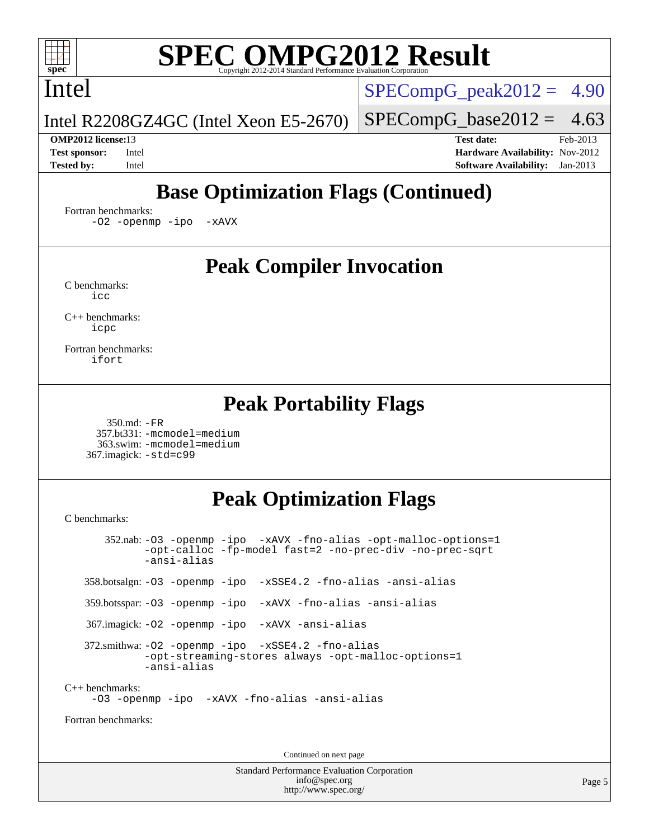## Intel

 $SPECompG<sub>peak2012</sub> = 4.90$ 

Intel R2208GZ4GC (Intel Xeon E5-2670)

 $SPECompG_base2012 = 4.63$  $SPECompG_base2012 = 4.63$ 

**[OMP2012 license:](http://www.spec.org/auto/omp2012/Docs/result-fields.html#OMP2012license)**13 **[Test date:](http://www.spec.org/auto/omp2012/Docs/result-fields.html#Testdate)** Feb-2013 **[Test sponsor:](http://www.spec.org/auto/omp2012/Docs/result-fields.html#Testsponsor)** Intel **[Hardware Availability:](http://www.spec.org/auto/omp2012/Docs/result-fields.html#HardwareAvailability)** Nov-2012 **[Tested by:](http://www.spec.org/auto/omp2012/Docs/result-fields.html#Testedby)** Intel **[Software Availability:](http://www.spec.org/auto/omp2012/Docs/result-fields.html#SoftwareAvailability)** Jan-2013

# **[Base Optimization Flags \(Continued\)](http://www.spec.org/auto/omp2012/Docs/result-fields.html#BaseOptimizationFlags)**

[Fortran benchmarks](http://www.spec.org/auto/omp2012/Docs/result-fields.html#Fortranbenchmarks):

[-O2](http://www.spec.org/omp2012/results/res2013q1/omp2012-20130305-00025.flags.html#user_FCbase_f-O2) [-openmp](http://www.spec.org/omp2012/results/res2013q1/omp2012-20130305-00025.flags.html#user_FCbase_f-openmp) [-ipo](http://www.spec.org/omp2012/results/res2013q1/omp2012-20130305-00025.flags.html#user_FCbase_f-ipo_84062ab53814f613187d02344b8f49a7) [-xAVX](http://www.spec.org/omp2012/results/res2013q1/omp2012-20130305-00025.flags.html#user_FCbase_f-xAVX)

## **[Peak Compiler Invocation](http://www.spec.org/auto/omp2012/Docs/result-fields.html#PeakCompilerInvocation)**

[C benchmarks](http://www.spec.org/auto/omp2012/Docs/result-fields.html#Cbenchmarks): [icc](http://www.spec.org/omp2012/results/res2013q1/omp2012-20130305-00025.flags.html#user_CCpeak_intel_icc_a87c68a857bc5ec5362391a49d3a37a6)

[C++ benchmarks:](http://www.spec.org/auto/omp2012/Docs/result-fields.html#CXXbenchmarks) [icpc](http://www.spec.org/omp2012/results/res2013q1/omp2012-20130305-00025.flags.html#user_CXXpeak_intel_icpc_2d899f8d163502b12eb4a60069f80c1c)

[Fortran benchmarks](http://www.spec.org/auto/omp2012/Docs/result-fields.html#Fortranbenchmarks): [ifort](http://www.spec.org/omp2012/results/res2013q1/omp2012-20130305-00025.flags.html#user_FCpeak_intel_ifort_8a5e5e06b19a251bdeaf8fdab5d62f20)

### **[Peak Portability Flags](http://www.spec.org/auto/omp2012/Docs/result-fields.html#PeakPortabilityFlags)**

 350.md: [-FR](http://www.spec.org/omp2012/results/res2013q1/omp2012-20130305-00025.flags.html#user_peakFPORTABILITY350_md_f-FR) 357.bt331: [-mcmodel=medium](http://www.spec.org/omp2012/results/res2013q1/omp2012-20130305-00025.flags.html#user_peakPORTABILITY357_bt331_f-mcmodel_3a41622424bdd074c4f0f2d2f224c7e5) 363.swim: [-mcmodel=medium](http://www.spec.org/omp2012/results/res2013q1/omp2012-20130305-00025.flags.html#user_peakPORTABILITY363_swim_f-mcmodel_3a41622424bdd074c4f0f2d2f224c7e5) 367.imagick: [-std=c99](http://www.spec.org/omp2012/results/res2013q1/omp2012-20130305-00025.flags.html#user_peakCPORTABILITY367_imagick_f-std_2ec6533b6e06f1c4a6c9b78d9e9cde24)

## **[Peak Optimization Flags](http://www.spec.org/auto/omp2012/Docs/result-fields.html#PeakOptimizationFlags)**

[C benchmarks](http://www.spec.org/auto/omp2012/Docs/result-fields.html#Cbenchmarks):

 352.nab: [-O3](http://www.spec.org/omp2012/results/res2013q1/omp2012-20130305-00025.flags.html#user_peakOPTIMIZE352_nab_f-O3) [-openmp](http://www.spec.org/omp2012/results/res2013q1/omp2012-20130305-00025.flags.html#user_peakOPTIMIZE352_nab_f-openmp) [-ipo](http://www.spec.org/omp2012/results/res2013q1/omp2012-20130305-00025.flags.html#user_peakOPTIMIZE352_nab_f-ipo_84062ab53814f613187d02344b8f49a7) [-xAVX](http://www.spec.org/omp2012/results/res2013q1/omp2012-20130305-00025.flags.html#user_peakOPTIMIZE352_nab_f-xAVX) [-fno-alias](http://www.spec.org/omp2012/results/res2013q1/omp2012-20130305-00025.flags.html#user_peakOPTIMIZE352_nab_f-no-alias_694e77f6c5a51e658e82ccff53a9e63a) [-opt-malloc-options=1](http://www.spec.org/omp2012/results/res2013q1/omp2012-20130305-00025.flags.html#user_peakOPTIMIZE352_nab_f-opt-malloc-options_d882ffc6ff87e51efe45f9a5190004b0) [-opt-calloc](http://www.spec.org/omp2012/results/res2013q1/omp2012-20130305-00025.flags.html#user_peakOPTIMIZE352_nab_f-opt-calloc) [-fp-model fast=2](http://www.spec.org/omp2012/results/res2013q1/omp2012-20130305-00025.flags.html#user_peakOPTIMIZE352_nab_f-fp-model_a7fb8ccb7275e23f0079632c153cfcab) [-no-prec-div](http://www.spec.org/omp2012/results/res2013q1/omp2012-20130305-00025.flags.html#user_peakOPTIMIZE352_nab_f-no-prec-div) [-no-prec-sqrt](http://www.spec.org/omp2012/results/res2013q1/omp2012-20130305-00025.flags.html#user_peakOPTIMIZE352_nab_f-no-prec-sqrt) [-ansi-alias](http://www.spec.org/omp2012/results/res2013q1/omp2012-20130305-00025.flags.html#user_peakCOPTIMIZE352_nab_f-ansi-alias) 358.botsalgn: [-O3](http://www.spec.org/omp2012/results/res2013q1/omp2012-20130305-00025.flags.html#user_peakOPTIMIZE358_botsalgn_f-O3) [-openmp](http://www.spec.org/omp2012/results/res2013q1/omp2012-20130305-00025.flags.html#user_peakOPTIMIZE358_botsalgn_f-openmp) [-ipo](http://www.spec.org/omp2012/results/res2013q1/omp2012-20130305-00025.flags.html#user_peakOPTIMIZE358_botsalgn_f-ipo_84062ab53814f613187d02344b8f49a7) [-xSSE4.2](http://www.spec.org/omp2012/results/res2013q1/omp2012-20130305-00025.flags.html#user_peakOPTIMIZE358_botsalgn_f-xSSE42_f91528193cf0b216347adb8b939d4107) [-fno-alias](http://www.spec.org/omp2012/results/res2013q1/omp2012-20130305-00025.flags.html#user_peakOPTIMIZE358_botsalgn_f-no-alias_694e77f6c5a51e658e82ccff53a9e63a) [-ansi-alias](http://www.spec.org/omp2012/results/res2013q1/omp2012-20130305-00025.flags.html#user_peakCOPTIMIZE358_botsalgn_f-ansi-alias) 359.botsspar: [-O3](http://www.spec.org/omp2012/results/res2013q1/omp2012-20130305-00025.flags.html#user_peakOPTIMIZE359_botsspar_f-O3) [-openmp](http://www.spec.org/omp2012/results/res2013q1/omp2012-20130305-00025.flags.html#user_peakOPTIMIZE359_botsspar_f-openmp) [-ipo](http://www.spec.org/omp2012/results/res2013q1/omp2012-20130305-00025.flags.html#user_peakOPTIMIZE359_botsspar_f-ipo_84062ab53814f613187d02344b8f49a7) [-xAVX](http://www.spec.org/omp2012/results/res2013q1/omp2012-20130305-00025.flags.html#user_peakOPTIMIZE359_botsspar_f-xAVX) [-fno-alias](http://www.spec.org/omp2012/results/res2013q1/omp2012-20130305-00025.flags.html#user_peakOPTIMIZE359_botsspar_f-no-alias_694e77f6c5a51e658e82ccff53a9e63a) [-ansi-alias](http://www.spec.org/omp2012/results/res2013q1/omp2012-20130305-00025.flags.html#user_peakCOPTIMIZE359_botsspar_f-ansi-alias) 367.imagick: [-O2](http://www.spec.org/omp2012/results/res2013q1/omp2012-20130305-00025.flags.html#user_peakOPTIMIZE367_imagick_f-O2) [-openmp](http://www.spec.org/omp2012/results/res2013q1/omp2012-20130305-00025.flags.html#user_peakOPTIMIZE367_imagick_f-openmp) [-ipo](http://www.spec.org/omp2012/results/res2013q1/omp2012-20130305-00025.flags.html#user_peakOPTIMIZE367_imagick_f-ipo_84062ab53814f613187d02344b8f49a7) [-xAVX](http://www.spec.org/omp2012/results/res2013q1/omp2012-20130305-00025.flags.html#user_peakOPTIMIZE367_imagick_f-xAVX) [-ansi-alias](http://www.spec.org/omp2012/results/res2013q1/omp2012-20130305-00025.flags.html#user_peakCOPTIMIZE367_imagick_f-ansi-alias) 372.smithwa: [-O2](http://www.spec.org/omp2012/results/res2013q1/omp2012-20130305-00025.flags.html#user_peakOPTIMIZE372_smithwa_f-O2) [-openmp](http://www.spec.org/omp2012/results/res2013q1/omp2012-20130305-00025.flags.html#user_peakOPTIMIZE372_smithwa_f-openmp) [-ipo](http://www.spec.org/omp2012/results/res2013q1/omp2012-20130305-00025.flags.html#user_peakOPTIMIZE372_smithwa_f-ipo_84062ab53814f613187d02344b8f49a7) [-xSSE4.2](http://www.spec.org/omp2012/results/res2013q1/omp2012-20130305-00025.flags.html#user_peakOPTIMIZE372_smithwa_f-xSSE42_f91528193cf0b216347adb8b939d4107) [-fno-alias](http://www.spec.org/omp2012/results/res2013q1/omp2012-20130305-00025.flags.html#user_peakOPTIMIZE372_smithwa_f-no-alias_694e77f6c5a51e658e82ccff53a9e63a) [-opt-streaming-stores always](http://www.spec.org/omp2012/results/res2013q1/omp2012-20130305-00025.flags.html#user_peakOPTIMIZE372_smithwa_f-opt-streaming-stores-always_66f55dbc532842151ebc4c82f4f5b019) [-opt-malloc-options=1](http://www.spec.org/omp2012/results/res2013q1/omp2012-20130305-00025.flags.html#user_peakOPTIMIZE372_smithwa_f-opt-malloc-options_d882ffc6ff87e51efe45f9a5190004b0) [-ansi-alias](http://www.spec.org/omp2012/results/res2013q1/omp2012-20130305-00025.flags.html#user_peakCOPTIMIZE372_smithwa_f-ansi-alias) [C++ benchmarks:](http://www.spec.org/auto/omp2012/Docs/result-fields.html#CXXbenchmarks) [-O3](http://www.spec.org/omp2012/results/res2013q1/omp2012-20130305-00025.flags.html#user_CXXpeak_f-O3) [-openmp](http://www.spec.org/omp2012/results/res2013q1/omp2012-20130305-00025.flags.html#user_CXXpeak_f-openmp) [-ipo](http://www.spec.org/omp2012/results/res2013q1/omp2012-20130305-00025.flags.html#user_CXXpeak_f-ipo_84062ab53814f613187d02344b8f49a7) [-xAVX](http://www.spec.org/omp2012/results/res2013q1/omp2012-20130305-00025.flags.html#user_CXXpeak_f-xAVX) [-fno-alias](http://www.spec.org/omp2012/results/res2013q1/omp2012-20130305-00025.flags.html#user_CXXpeak_f-no-alias_694e77f6c5a51e658e82ccff53a9e63a) [-ansi-alias](http://www.spec.org/omp2012/results/res2013q1/omp2012-20130305-00025.flags.html#user_CXXpeak_f-ansi-alias) [Fortran benchmarks](http://www.spec.org/auto/omp2012/Docs/result-fields.html#Fortranbenchmarks):

Continued on next page